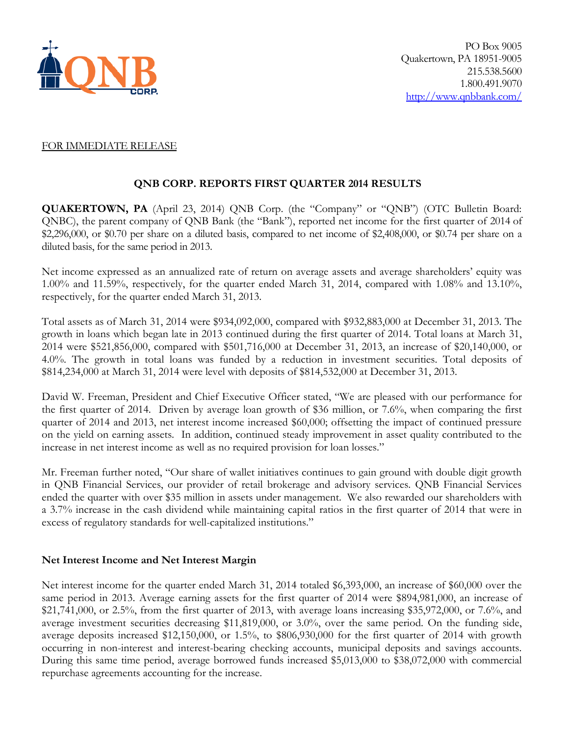

## FOR IMMEDIATE RELEASE

# **QNB CORP. REPORTS FIRST QUARTER 2014 RESULTS**

**QUAKERTOWN, PA** (April 23, 2014) QNB Corp. (the "Company" or "QNB") (OTC Bulletin Board: QNBC), the parent company of QNB Bank (the "Bank"), reported net income for the first quarter of 2014 of \$2,296,000, or \$0.70 per share on a diluted basis, compared to net income of \$2,408,000, or \$0.74 per share on a diluted basis, for the same period in 2013.

Net income expressed as an annualized rate of return on average assets and average shareholders' equity was 1.00% and 11.59%, respectively, for the quarter ended March 31, 2014, compared with 1.08% and 13.10%, respectively, for the quarter ended March 31, 2013.

Total assets as of March 31, 2014 were \$934,092,000, compared with \$932,883,000 at December 31, 2013. The growth in loans which began late in 2013 continued during the first quarter of 2014. Total loans at March 31, 2014 were \$521,856,000, compared with \$501,716,000 at December 31, 2013, an increase of \$20,140,000, or 4.0%. The growth in total loans was funded by a reduction in investment securities. Total deposits of \$814,234,000 at March 31, 2014 were level with deposits of \$814,532,000 at December 31, 2013.

David W. Freeman, President and Chief Executive Officer stated, "We are pleased with our performance for the first quarter of 2014. Driven by average loan growth of \$36 million, or 7.6%, when comparing the first quarter of 2014 and 2013, net interest income increased \$60,000; offsetting the impact of continued pressure on the yield on earning assets. In addition, continued steady improvement in asset quality contributed to the increase in net interest income as well as no required provision for loan losses."

Mr. Freeman further noted, "Our share of wallet initiatives continues to gain ground with double digit growth in QNB Financial Services, our provider of retail brokerage and advisory services. QNB Financial Services ended the quarter with over \$35 million in assets under management. We also rewarded our shareholders with a 3.7% increase in the cash dividend while maintaining capital ratios in the first quarter of 2014 that were in excess of regulatory standards for well-capitalized institutions."

# **Net Interest Income and Net Interest Margin**

Net interest income for the quarter ended March 31, 2014 totaled \$6,393,000, an increase of \$60,000 over the same period in 2013. Average earning assets for the first quarter of 2014 were \$894,981,000, an increase of \$21,741,000, or 2.5%, from the first quarter of 2013, with average loans increasing \$35,972,000, or 7.6%, and average investment securities decreasing \$11,819,000, or 3.0%, over the same period. On the funding side, average deposits increased \$12,150,000, or 1.5%, to \$806,930,000 for the first quarter of 2014 with growth occurring in non-interest and interest-bearing checking accounts, municipal deposits and savings accounts. During this same time period, average borrowed funds increased \$5,013,000 to \$38,072,000 with commercial repurchase agreements accounting for the increase.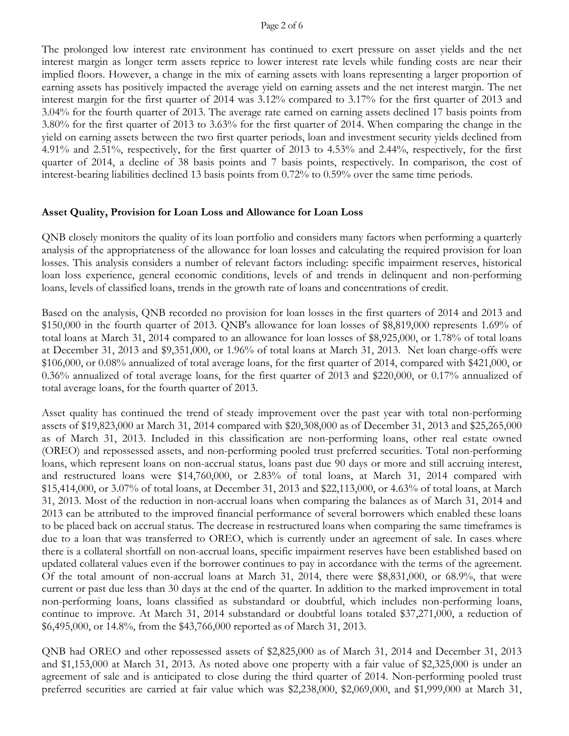#### Page 2 of 6

The prolonged low interest rate environment has continued to exert pressure on asset yields and the net interest margin as longer term assets reprice to lower interest rate levels while funding costs are near their implied floors. However, a change in the mix of earning assets with loans representing a larger proportion of earning assets has positively impacted the average yield on earning assets and the net interest margin. The net interest margin for the first quarter of 2014 was 3.12% compared to 3.17% for the first quarter of 2013 and 3.04% for the fourth quarter of 2013. The average rate earned on earning assets declined 17 basis points from 3.80% for the first quarter of 2013 to 3.63% for the first quarter of 2014. When comparing the change in the yield on earning assets between the two first quarter periods, loan and investment security yields declined from 4.91% and 2.51%, respectively, for the first quarter of 2013 to 4.53% and 2.44%, respectively, for the first quarter of 2014, a decline of 38 basis points and 7 basis points, respectively. In comparison, the cost of interest-bearing liabilities declined 13 basis points from 0.72% to 0.59% over the same time periods.

#### **Asset Quality, Provision for Loan Loss and Allowance for Loan Loss**

QNB closely monitors the quality of its loan portfolio and considers many factors when performing a quarterly analysis of the appropriateness of the allowance for loan losses and calculating the required provision for loan losses. This analysis considers a number of relevant factors including: specific impairment reserves, historical loan loss experience, general economic conditions, levels of and trends in delinquent and non-performing loans, levels of classified loans, trends in the growth rate of loans and concentrations of credit.

Based on the analysis, QNB recorded no provision for loan losses in the first quarters of 2014 and 2013 and \$150,000 in the fourth quarter of 2013. QNB's allowance for loan losses of \$8,819,000 represents 1.69% of total loans at March 31, 2014 compared to an allowance for loan losses of \$8,925,000, or 1.78% of total loans at December 31, 2013 and \$9,351,000, or 1.96% of total loans at March 31, 2013. Net loan charge-offs were \$106,000, or 0.08% annualized of total average loans, for the first quarter of 2014, compared with \$421,000, or 0.36% annualized of total average loans, for the first quarter of 2013 and \$220,000, or 0.17% annualized of total average loans, for the fourth quarter of 2013.

Asset quality has continued the trend of steady improvement over the past year with total non-performing assets of \$19,823,000 at March 31, 2014 compared with \$20,308,000 as of December 31, 2013 and \$25,265,000 as of March 31, 2013. Included in this classification are non-performing loans, other real estate owned (OREO) and repossessed assets, and non-performing pooled trust preferred securities. Total non-performing loans, which represent loans on non-accrual status, loans past due 90 days or more and still accruing interest, and restructured loans were \$14,760,000, or 2.83% of total loans, at March 31, 2014 compared with \$15,414,000, or 3.07% of total loans, at December 31, 2013 and \$22,113,000, or 4.63% of total loans, at March 31, 2013. Most of the reduction in non-accrual loans when comparing the balances as of March 31, 2014 and 2013 can be attributed to the improved financial performance of several borrowers which enabled these loans to be placed back on accrual status. The decrease in restructured loans when comparing the same timeframes is due to a loan that was transferred to OREO, which is currently under an agreement of sale. In cases where there is a collateral shortfall on non-accrual loans, specific impairment reserves have been established based on updated collateral values even if the borrower continues to pay in accordance with the terms of the agreement. Of the total amount of non-accrual loans at March 31, 2014, there were \$8,831,000, or 68.9%, that were current or past due less than 30 days at the end of the quarter. In addition to the marked improvement in total non-performing loans, loans classified as substandard or doubtful, which includes non-performing loans, continue to improve. At March 31, 2014 substandard or doubtful loans totaled \$37,271,000, a reduction of \$6,495,000, or 14.8%, from the \$43,766,000 reported as of March 31, 2013.

QNB had OREO and other repossessed assets of \$2,825,000 as of March 31, 2014 and December 31, 2013 and \$1,153,000 at March 31, 2013. As noted above one property with a fair value of \$2,325,000 is under an agreement of sale and is anticipated to close during the third quarter of 2014. Non-performing pooled trust preferred securities are carried at fair value which was \$2,238,000, \$2,069,000, and \$1,999,000 at March 31,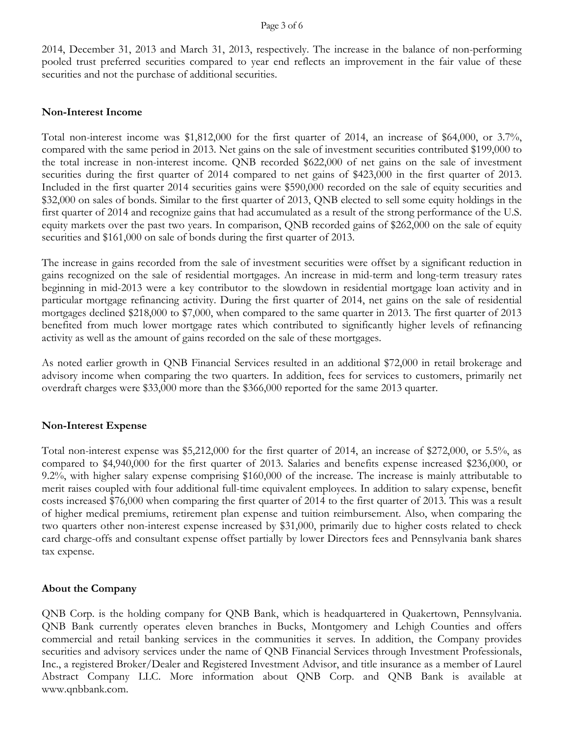2014, December 31, 2013 and March 31, 2013, respectively. The increase in the balance of non-performing pooled trust preferred securities compared to year end reflects an improvement in the fair value of these securities and not the purchase of additional securities.

#### **Non-Interest Income**

Total non-interest income was \$1,812,000 for the first quarter of 2014, an increase of \$64,000, or 3.7%, compared with the same period in 2013. Net gains on the sale of investment securities contributed \$199,000 to the total increase in non-interest income. QNB recorded \$622,000 of net gains on the sale of investment securities during the first quarter of 2014 compared to net gains of \$423,000 in the first quarter of 2013. Included in the first quarter 2014 securities gains were \$590,000 recorded on the sale of equity securities and \$32,000 on sales of bonds. Similar to the first quarter of 2013, QNB elected to sell some equity holdings in the first quarter of 2014 and recognize gains that had accumulated as a result of the strong performance of the U.S. equity markets over the past two years. In comparison, QNB recorded gains of \$262,000 on the sale of equity securities and \$161,000 on sale of bonds during the first quarter of 2013.

The increase in gains recorded from the sale of investment securities were offset by a significant reduction in gains recognized on the sale of residential mortgages. An increase in mid-term and long-term treasury rates beginning in mid-2013 were a key contributor to the slowdown in residential mortgage loan activity and in particular mortgage refinancing activity. During the first quarter of 2014, net gains on the sale of residential mortgages declined \$218,000 to \$7,000, when compared to the same quarter in 2013. The first quarter of 2013 benefited from much lower mortgage rates which contributed to significantly higher levels of refinancing activity as well as the amount of gains recorded on the sale of these mortgages.

As noted earlier growth in QNB Financial Services resulted in an additional \$72,000 in retail brokerage and advisory income when comparing the two quarters. In addition, fees for services to customers, primarily net overdraft charges were \$33,000 more than the \$366,000 reported for the same 2013 quarter.

#### **Non-Interest Expense**

Total non-interest expense was \$5,212,000 for the first quarter of 2014, an increase of \$272,000, or 5.5%, as compared to \$4,940,000 for the first quarter of 2013. Salaries and benefits expense increased \$236,000, or 9.2%, with higher salary expense comprising \$160,000 of the increase. The increase is mainly attributable to merit raises coupled with four additional full-time equivalent employees. In addition to salary expense, benefit costs increased \$76,000 when comparing the first quarter of 2014 to the first quarter of 2013. This was a result of higher medical premiums, retirement plan expense and tuition reimbursement. Also, when comparing the two quarters other non-interest expense increased by \$31,000, primarily due to higher costs related to check card charge-offs and consultant expense offset partially by lower Directors fees and Pennsylvania bank shares tax expense.

#### **About the Company**

QNB Corp. is the holding company for QNB Bank, which is headquartered in Quakertown, Pennsylvania. QNB Bank currently operates eleven branches in Bucks, Montgomery and Lehigh Counties and offers commercial and retail banking services in the communities it serves. In addition, the Company provides securities and advisory services under the name of QNB Financial Services through Investment Professionals, Inc., a registered Broker/Dealer and Registered Investment Advisor, and title insurance as a member of Laurel Abstract Company LLC. More information about QNB Corp. and QNB Bank is available at www.qnbbank.com.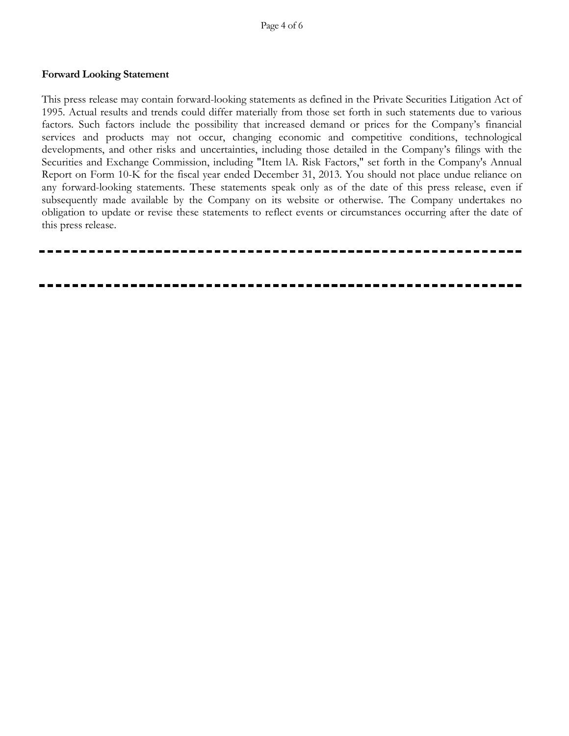#### **Forward Looking Statement**

This press release may contain forward-looking statements as defined in the Private Securities Litigation Act of 1995. Actual results and trends could differ materially from those set forth in such statements due to various factors. Such factors include the possibility that increased demand or prices for the Company's financial services and products may not occur, changing economic and competitive conditions, technological developments, and other risks and uncertainties, including those detailed in the Company's filings with the Securities and Exchange Commission, including "Item lA. Risk Factors," set forth in the Company's Annual Report on Form 10-K for the fiscal year ended December 31, 2013. You should not place undue reliance on any forward-looking statements. These statements speak only as of the date of this press release, even if subsequently made available by the Company on its website or otherwise. The Company undertakes no obligation to update or revise these statements to reflect events or circumstances occurring after the date of this press release.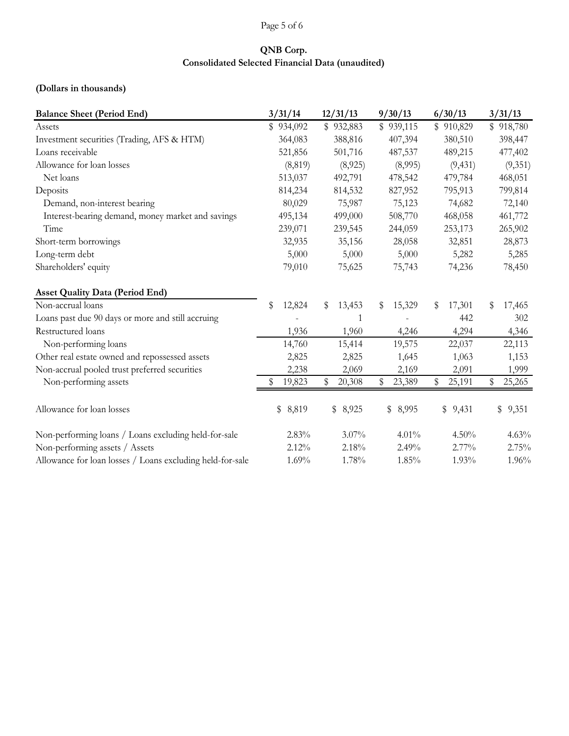# Page 5 of 6

# **QNB Corp. Consolidated Selected Financial Data (unaudited)**

## **(Dollars in thousands)**

| <b>Balance Sheet (Period End)</b>                         | 3/31/14      | 12/31/13      | 9/30/13      | 6/30/13     | 3/31/13      |
|-----------------------------------------------------------|--------------|---------------|--------------|-------------|--------------|
| Assets                                                    | \$934,092    | 932,883<br>\$ | \$939,115    | \$910,829   | \$918,780    |
| Investment securities (Trading, AFS & HTM)                | 364,083      | 388,816       | 407,394      | 380,510     | 398,447      |
| Loans receivable                                          | 521,856      | 501,716       | 487,537      | 489,215     | 477,402      |
| Allowance for loan losses                                 | (8, 819)     | (8,925)       | (8,995)      | (9, 431)    | (9,351)      |
| Net loans                                                 | 513,037      | 492,791       | 478,542      | 479,784     | 468,051      |
| Deposits                                                  | 814,234      | 814,532       | 827,952      | 795,913     | 799,814      |
| Demand, non-interest bearing                              | 80,029       | 75,987        | 75,123       | 74,682      | 72,140       |
| Interest-bearing demand, money market and savings         | 495,134      | 499,000       | 508,770      | 468,058     | 461,772      |
| Time                                                      | 239,071      | 239,545       | 244,059      | 253,173     | 265,902      |
| Short-term borrowings                                     | 32,935       | 35,156        | 28,058       | 32,851      | 28,873       |
| Long-term debt                                            | 5,000        | 5,000         | 5,000        | 5,282       | 5,285        |
| Shareholders' equity                                      | 79,010       | 75,625        | 75,743       | 74,236      | 78,450       |
| <b>Asset Quality Data (Period End)</b>                    |              |               |              |             |              |
| Non-accrual loans                                         | \$<br>12,824 | \$<br>13,453  | 15,329<br>S  | 17,301<br>S | 17,465<br>\$ |
| Loans past due 90 days or more and still accruing         |              | 1             |              | 442         | 302          |
| Restructured loans                                        | 1,936        | 1,960         | 4,246        | 4,294       | 4,346        |
| Non-performing loans                                      | 14,760       | 15,414        | 19,575       | 22,037      | 22,113       |
| Other real estate owned and repossessed assets            | 2,825        | 2,825         | 1,645        | 1,063       | 1,153        |
| Non-accrual pooled trust preferred securities             | 2,238        | 2,069         | 2,169        | 2,091       | 1,999        |
| Non-performing assets                                     | 19,823       | \$<br>20,308  | \$<br>23,389 | 25,191<br>S | 25,265<br>S  |
| Allowance for loan losses                                 | \$<br>8,819  | \$ 8,925      | \$ 8,995     | \$9,431     | \$<br>9,351  |
| Non-performing loans / Loans excluding held-for-sale      | 2.83%        | 3.07%         | 4.01%        | 4.50%       | 4.63%        |
| Non-performing assets / Assets                            | 2.12%        | 2.18%         | 2.49%        | 2.77%       | 2.75%        |
| Allowance for loan losses / Loans excluding held-for-sale | 1.69%        | 1.78%         | 1.85%        | 1.93%       | 1.96%        |